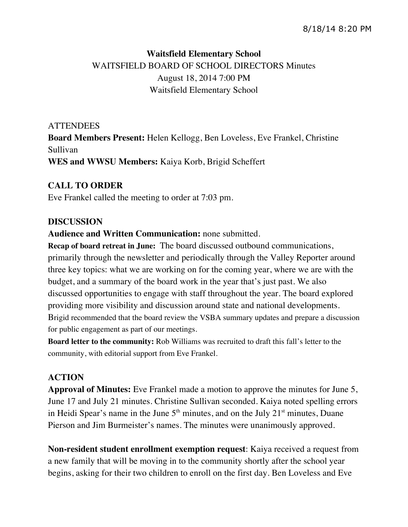# **Waitsfield Elementary School** WAITSFIELD BOARD OF SCHOOL DIRECTORS Minutes August 18, 2014 7:00 PM Waitsfield Elementary School

# **ATTENDEES**

**Board Members Present:** Helen Kellogg, Ben Loveless, Eve Frankel, Christine Sullivan **WES and WWSU Members:** Kaiya Korb, Brigid Scheffert

# **CALL TO ORDER**

Eve Frankel called the meeting to order at 7:03 pm.

### **DISCUSSION**

### **Audience and Written Communication:** none submitted.

**Recap of board retreat in June:** The board discussed outbound communications, primarily through the newsletter and periodically through the Valley Reporter around three key topics: what we are working on for the coming year, where we are with the budget, and a summary of the board work in the year that's just past. We also discussed opportunities to engage with staff throughout the year. The board explored providing more visibility and discussion around state and national developments. Brigid recommended that the board review the VSBA summary updates and prepare a discussion for public engagement as part of our meetings.

**Board letter to the community:** Rob Williams was recruited to draft this fall's letter to the community, with editorial support from Eve Frankel.

## **ACTION**

**Approval of Minutes:** Eve Frankel made a motion to approve the minutes for June 5, June 17 and July 21 minutes. Christine Sullivan seconded. Kaiya noted spelling errors in Heidi Spear's name in the June  $5<sup>th</sup>$  minutes, and on the July  $21<sup>st</sup>$  minutes, Duane Pierson and Jim Burmeister's names. The minutes were unanimously approved.

**Non-resident student enrollment exemption request**: Kaiya received a request from a new family that will be moving in to the community shortly after the school year begins, asking for their two children to enroll on the first day. Ben Loveless and Eve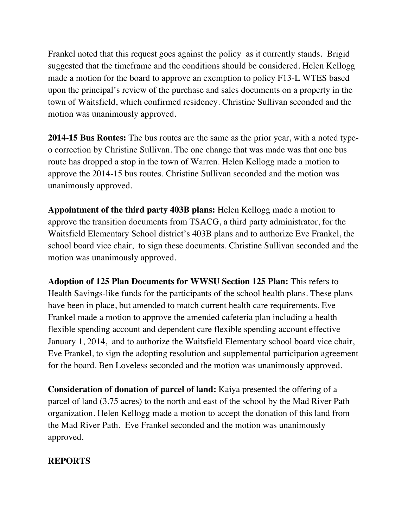Frankel noted that this request goes against the policy as it currently stands. Brigid suggested that the timeframe and the conditions should be considered. Helen Kellogg made a motion for the board to approve an exemption to policy F13-L WTES based upon the principal's review of the purchase and sales documents on a property in the town of Waitsfield, which confirmed residency. Christine Sullivan seconded and the motion was unanimously approved.

**2014-15 Bus Routes:** The bus routes are the same as the prior year, with a noted typeo correction by Christine Sullivan. The one change that was made was that one bus route has dropped a stop in the town of Warren. Helen Kellogg made a motion to approve the 2014-15 bus routes. Christine Sullivan seconded and the motion was unanimously approved.

**Appointment of the third party 403B plans:** Helen Kellogg made a motion to approve the transition documents from TSACG, a third party administrator, for the Waitsfield Elementary School district's 403B plans and to authorize Eve Frankel, the school board vice chair, to sign these documents. Christine Sullivan seconded and the motion was unanimously approved.

**Adoption of 125 Plan Documents for WWSU Section 125 Plan:** This refers to Health Savings-like funds for the participants of the school health plans. These plans have been in place, but amended to match current health care requirements. Eve Frankel made a motion to approve the amended cafeteria plan including a health flexible spending account and dependent care flexible spending account effective January 1, 2014, and to authorize the Waitsfield Elementary school board vice chair, Eve Frankel, to sign the adopting resolution and supplemental participation agreement for the board. Ben Loveless seconded and the motion was unanimously approved.

**Consideration of donation of parcel of land:** Kaiya presented the offering of a parcel of land (3.75 acres) to the north and east of the school by the Mad River Path organization. Helen Kellogg made a motion to accept the donation of this land from the Mad River Path. Eve Frankel seconded and the motion was unanimously approved.

#### **REPORTS**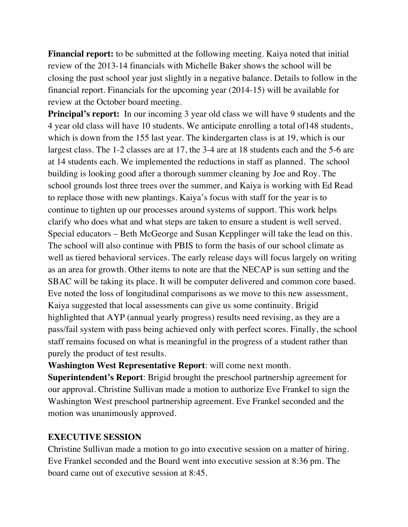**Financial report:** to be submitted at the following meeting. Kaiya noted that initial review of the 2013-14 financials with Michelle Baker shows the school will be closing the past school year just slightly in a negative balance. Details to follow in the financial report. Financials for the upcoming year (2014-15) will be available for review at the October board meeting.

**Principal's report:** In our incoming 3 year old class we will have 9 students and the 4 year old class will have 10 students. We anticipate enrolling a total of148 students, which is down from the 155 last year. The kindergarten class is at 19, which is our largest class. The 1-2 classes are at 17, the 3-4 are at 18 students each and the 5-6 are at 14 students each. We implemented the reductions in staff as planned. The school building is looking good after a thorough summer cleaning by Joe and Roy. The school grounds lost three trees over the summer, and Kaiya is working with Ed Read to replace those with new plantings. Kaiya's focus with staff for the year is to continue to tighten up our processes around systems of support. This work helps clarify who does what and what steps are taken to ensure a student is well served. Special educators – Beth McGeorge and Susan Kepplinger will take the lead on this. The school will also continue with PBIS to form the basis of our school climate as well as tiered behavioral services. The early release days will focus largely on writing as an area for growth. Other items to note are that the NECAP is sun setting and the SBAC will be taking its place. It will be computer delivered and common core based. Eve noted the loss of longitudinal comparisons as we move to this new assessment, Kaiya suggested that local assessments can give us some continuity. Brigid highlighted that AYP (annual yearly progress) results need revising, as they are a pass/fail system with pass being achieved only with perfect scores. Finally, the school staff remains focused on what is meaningful in the progress of a student rather than purely the product of test results.

**Washington West Representative Report**: will come next month.

**Superintendent's Report**: Brigid brought the preschool partnership agreement for our approval. Christine Sullivan made a motion to authorize Eve Frankel to sign the Washington West preschool partnership agreement. Eve Frankel seconded and the motion was unanimously approved.

#### **EXECUTIVE SESSION**

Christine Sullivan made a motion to go into executive session on a matter of hiring. Eve Frankel seconded and the Board went into executive session at 8:36 pm. The board came out of executive session at 8:45.